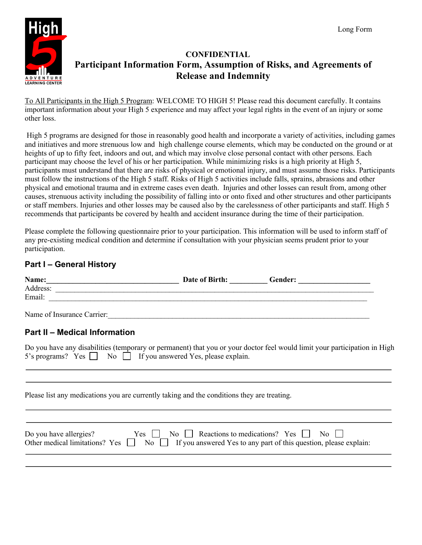

# **CONFIDENTIAL Participant Information Form, Assumption of Risks, and Agreements of Release and Indemnity**

To All Participants in the High 5 Program: WELCOME TO HIGH 5! Please read this document carefully. It contains important information about your High 5 experience and may affect your legal rights in the event of an injury or some other loss.

High 5 programs are designed for those in reasonably good health and incorporate a variety of activities, including games and initiatives and more strenuous low and high challenge course elements, which may be conducted on the ground or at heights of up to fifty feet, indoors and out, and which may involve close personal contact with other persons. Each participant may choose the level of his or her participation. While minimizing risks is a high priority at High 5, participants must understand that there are risks of physical or emotional injury, and must assume those risks. Participants must follow the instructions of the High 5 staff. Risks of High 5 activities include falls, sprains, abrasions and other physical and emotional trauma and in extreme cases even death. Injuries and other losses can result from, among other causes, strenuous activity including the possibility of falling into or onto fixed and other structures and other participants or staff members. Injuries and other losses may be caused also by the carelessness of other participants and staff. High 5 recommends that participants be covered by health and accident insurance during the time of their participation.

Please complete the following questionnaire prior to your participation. This information will be used to inform staff of any pre-existing medical condition and determine if consultation with your physician seems prudent prior to your participation.  $\overline{a}$ 

## **Part I – General History**

| Name:                      | Date of Birth: | Gender: |  |
|----------------------------|----------------|---------|--|
| Address:                   |                |         |  |
| Email:                     |                |         |  |
| Name of Insurance Carrier: |                |         |  |

### **Part II – Medical Information**

1

Do you have any disabilities (temporary or permanent) that you or your doctor feel would limit your participation in High 5's programs? Yes  $\Box$  No  $\Box$  If you answered Yes, please explain.

Please list any medications you are currently taking and the conditions they are treating.

| Do you have allergies? | $Yes \t No \t Recations to medications? Yes \t No \t No$                                                          |
|------------------------|-------------------------------------------------------------------------------------------------------------------|
|                        | Other medical limitations? Yes $\Box$ No $\Box$ If you answered Yes to any part of this question, please explain: |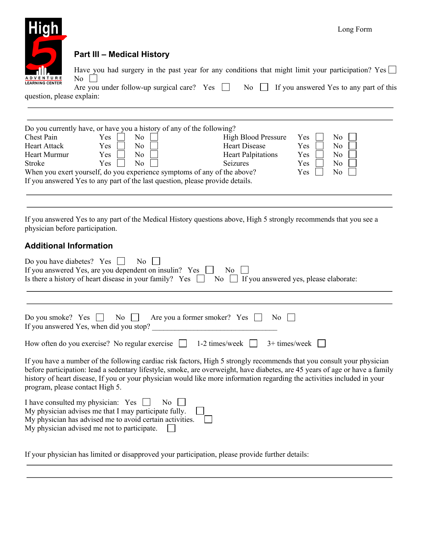

# **Part III – Medical History**

| Have you had surgery in the past year for any conditions that might limit your participation? Yes $\Box$<br>$\overline{N_0}$ |  |  |  |  |
|------------------------------------------------------------------------------------------------------------------------------|--|--|--|--|
| Are you under follow-up surgical care? Yes $\Box$ No $\Box$ If you answered Yes to any part of this                          |  |  |  |  |

question, please explain:

|                                                                               | Do you currently have, or have you a history of any of the following? |                            |     |     |
|-------------------------------------------------------------------------------|-----------------------------------------------------------------------|----------------------------|-----|-----|
| Chest Pain                                                                    | Yes<br>No                                                             | <b>High Blood Pressure</b> | Yes | No  |
| <b>Heart Attack</b>                                                           | Yes<br>No                                                             | <b>Heart Disease</b>       | Yes | No  |
| Heart Murmur                                                                  | No<br><b>Yes</b>                                                      | <b>Heart Palpitations</b>  | Yes | No. |
| Stroke                                                                        | No<br>Yes.                                                            | <b>Seizures</b>            | Yes | No  |
| When you exert yourself, do you experience symptoms of any of the above?      |                                                                       |                            | Yes | No  |
| If you answered Yes to any part of the last question, please provide details. |                                                                       |                            |     |     |

If you answered Yes to any part of the Medical History questions above, High 5 strongly recommends that you see a physician before participation.

#### **Additional Information**

j

| Do you have diabetes? Yes $\Box$<br>No<br>If you answered Yes, are you dependent on insulin? Yes $\Box$<br>No.<br>Is there a history of heart disease in your family? Yes $\Box$ No $\Box$ If you answered yes, please elaborate:                                                                                                                                                                                     |
|-----------------------------------------------------------------------------------------------------------------------------------------------------------------------------------------------------------------------------------------------------------------------------------------------------------------------------------------------------------------------------------------------------------------------|
| Do you smoke? Yes $\Box$ No $\Box$ Are you a former smoker? Yes $\Box$<br>$\overline{N_0}$    <br>If you answered Yes, when did you stop?                                                                                                                                                                                                                                                                             |
| $3+$ times/week  <br>How often do you exercise? No regular exercise<br>1-2 times/week $\vert \vert$                                                                                                                                                                                                                                                                                                                   |
| If you have a number of the following cardiac risk factors, High 5 strongly recommends that you consult your physician<br>before participation: lead a sedentary lifestyle, smoke, are overweight, have diabetes, are 45 years of age or have a family<br>history of heart disease, If you or your physician would like more information regarding the activities included in your<br>program, please contact High 5. |
| I have consulted my physician: $Yes \Box$ No<br>My physician advises me that I may participate fully.<br>My physician has advised me to avoid certain activities.<br>My physician advised me not to participate.                                                                                                                                                                                                      |

If your physician has limited or disapproved your participation, please provide further details: